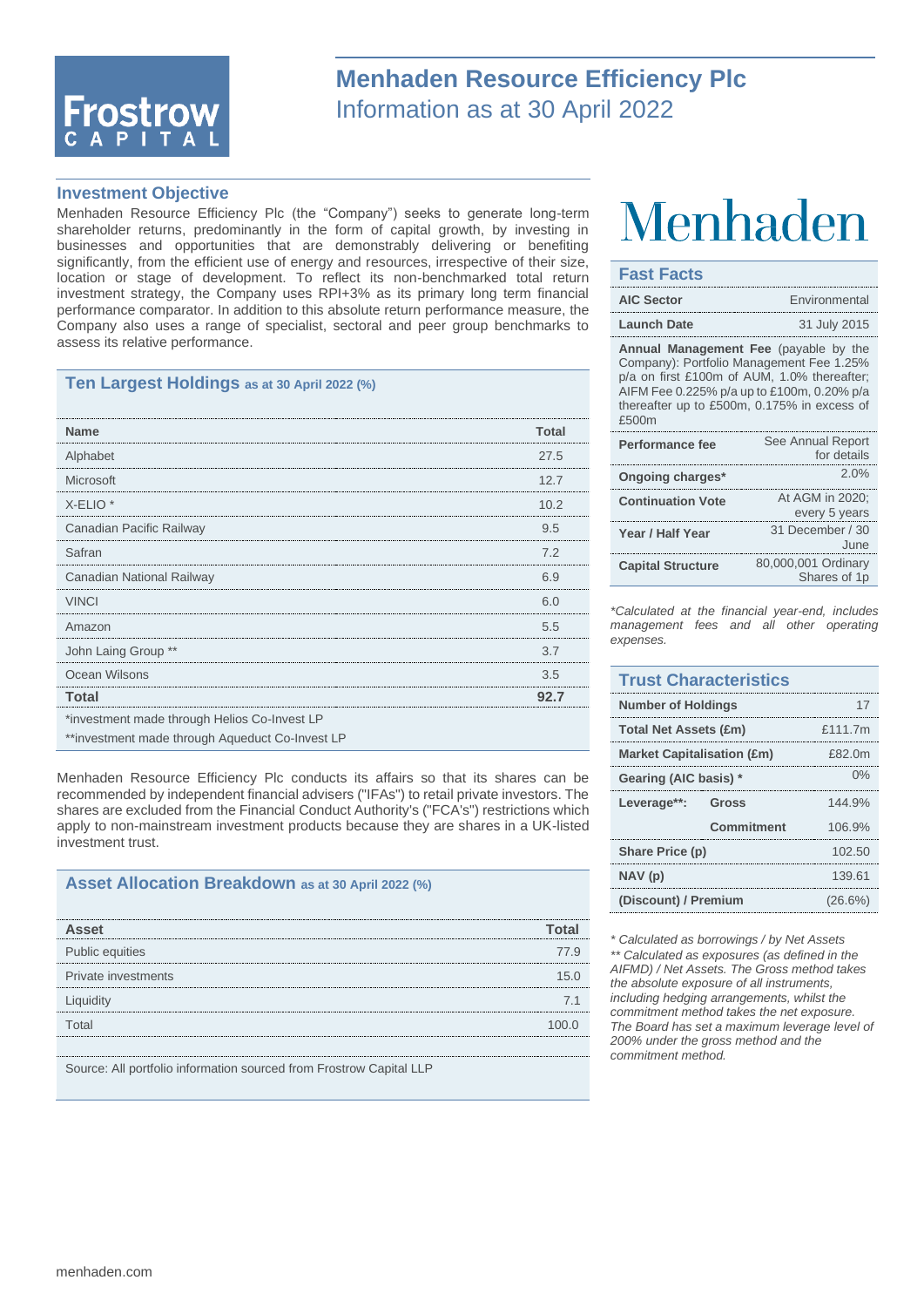

## **Menhaden Resource Efficiency Plc** Information as at 30 April 2022

#### **Investment Objective**

Menhaden Resource Efficiency Plc (the "Company") seeks to generate long-term shareholder returns, predominantly in the form of capital growth, by investing in businesses and opportunities that are demonstrably delivering or benefiting significantly, from the efficient use of energy and resources, irrespective of their size, location or stage of development. To reflect its non-benchmarked total return investment strategy, the Company uses RPI+3% as its primary long term financial performance comparator. In addition to this absolute return performance measure, the Company also uses a range of specialist, sectoral and peer group benchmarks to assess its relative performance.

#### **Ten Largest Holdings as at 30 April 2022 (%)**

| <b>Name</b>                                     | Total |
|-------------------------------------------------|-------|
| Alphabet                                        | 27.5  |
| Microsoft                                       | 12.7  |
| $X$ -ELIO $*$                                   | 10.2  |
| Canadian Pacific Railway                        | 9.5   |
| Safran                                          | 7.2   |
| Canadian National Railway                       | 69    |
| <b>VINCI</b>                                    | 6.0   |
| Amazon                                          | 5.5   |
| John Laing Group **                             | 3.7   |
| Ocean Wilsons                                   | 3.5   |
| Total                                           | 92.7  |
| *investment made through Helios Co-Invest LP    |       |
| **investment made through Aqueduct Co-Invest LP |       |

Menhaden Resource Efficiency Plc conducts its affairs so that its shares can be recommended by independent financial advisers ("IFAs") to retail private investors. The shares are excluded from the Financial Conduct Authority's ("FCA's") restrictions which apply to non-mainstream investment products because they are shares in a UK-listed investment trust.

#### **Asset Allocation Breakdown as at 30 April 2022 (%)**

| <b>Asset</b>                                                        |           |
|---------------------------------------------------------------------|-----------|
| Public equities                                                     | 77 Q      |
| Private investments                                                 | 1   ና   በ |
| Liquidity                                                           |           |
| Total                                                               |           |
|                                                                     |           |
| Source: All portfolio information sourced from Frostrow Capital LLP |           |

# Menhaden

#### **Fast Facts**

| <b>AIC Sector</b>                                                                                                                                                                                                                             | Environmental                       |  |
|-----------------------------------------------------------------------------------------------------------------------------------------------------------------------------------------------------------------------------------------------|-------------------------------------|--|
| <b>Launch Date</b>                                                                                                                                                                                                                            | 31 July 2015                        |  |
| <b>Annual Management Fee</b> (payable by the<br>Company): Portfolio Management Fee 1.25%<br>p/a on first £100m of AUM, 1.0% thereafter;<br>AIFM Fee 0.225% p/a up to £100m, 0.20% p/a<br>thereafter up to £500m, 0.175% in excess of<br>£500m |                                     |  |
| Performance fee                                                                                                                                                                                                                               | See Annual Report<br>for details    |  |
| Ongoing charges*                                                                                                                                                                                                                              | 2.0%                                |  |
| <b>Continuation Vote</b>                                                                                                                                                                                                                      | At AGM in 2020:<br>every 5 years    |  |
| Year / Half Year                                                                                                                                                                                                                              | 31 December / 30<br>June            |  |
| <b>Capital Structure</b>                                                                                                                                                                                                                      | 80,000,001 Ordinary<br>Shares of 1p |  |

*\*Calculated at the financial year-end, includes management fees and all other operating expenses.*

### **Trust Characteristics Number of Holdings** 17 **Total Net Assets (£m)** £111.7m **Market Capitalisation (£m)** £82.0m **Gearing (AIC basis) \*** 0% **Leverage\*\*: Gross** 144.9% **Commitment** 106.9% **Share Price (p)** 102.50 **NAV (p)** 139.61 **(Discount) / Premium** (26.6%)

*\* Calculated as borrowings / by Net Assets \*\* Calculated as exposures (as defined in the AIFMD) / Net Assets. The Gross method takes the absolute exposure of all instruments, including hedging arrangements, whilst the commitment method takes the net exposure. The Board has set a maximum leverage level of 200% under the gross method and the commitment method.*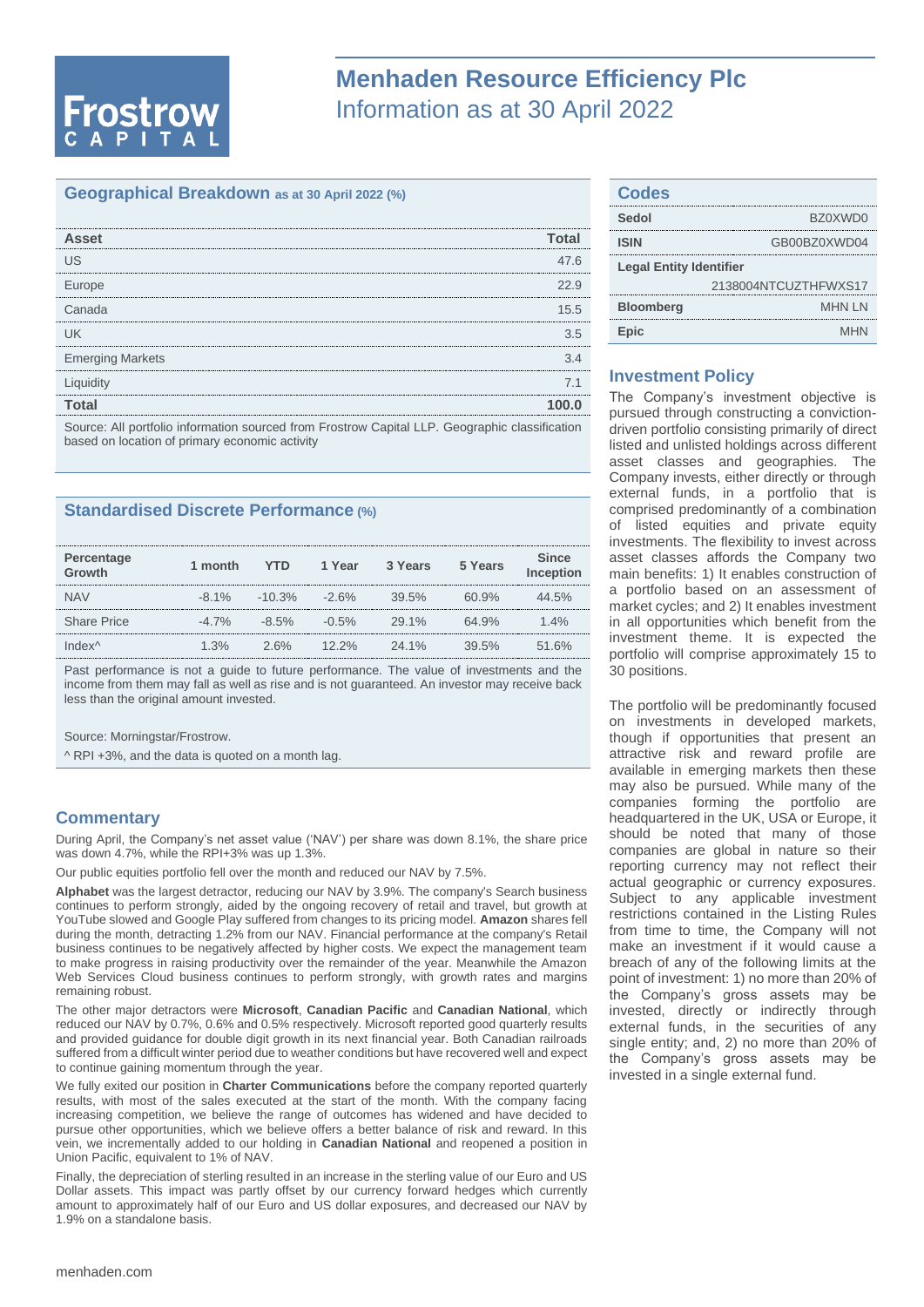# **Frostrow**

## **Menhaden Resource Efficiency Plc** Information as at 30 April 2022

#### **Geographical Breakdown as at 30 April 2022 (%)**

| <b>Asset</b>                                                                                   |      |
|------------------------------------------------------------------------------------------------|------|
| US                                                                                             | 47.6 |
| Europe                                                                                         | 22.9 |
| Canada                                                                                         | 15.5 |
| lΙK                                                                                            | 3.5  |
| <b>Emerging Markets</b>                                                                        | 34   |
| Liquidity                                                                                      | 7.1  |
| Total                                                                                          |      |
| Source: All portfolio information sourced from Frostrow Capital LLP. Geographic classification |      |

based on location of primary economic activity

#### **Standardised Discrete Performance (%)**

| Percentage<br>Growth | 1 month  | YTD.      | 1 Year   | 3 Years  | 5 Years | <b>Since</b><br>Inception |
|----------------------|----------|-----------|----------|----------|---------|---------------------------|
| <b>NAV</b>           | $-8.1\%$ | $-10.3\%$ | $-2.6\%$ | 39.5%    | 60.9%   | 44.5%                     |
| <b>Share Price</b>   | $-4.7\%$ | $-8.5\%$  | $-0.5%$  | 29.1%    | 64.9%   | $1.4\%$                   |
| Index^               | $1.3\%$  | 2.6%      | $12.2\%$ | $24.1\%$ | 39.5%   | 51.6%                     |

Past performance is not a guide to future performance. The value of investments and the income from them may fall as well as rise and is not guaranteed. An investor may receive back less than the original amount invested.

Source: Morningstar/Frostrow.

^ RPI +3%, and the data is quoted on a month lag.

#### **Commentary**

During April, the Company's net asset value ('NAV') per share was down 8.1%, the share price was down 4.7%, while the RPI+3% was up 1.3%.

Our public equities portfolio fell over the month and reduced our NAV by 7.5%.

**Alphabet** was the largest detractor, reducing our NAV by 3.9%. The company's Search business continues to perform strongly, aided by the ongoing recovery of retail and travel, but growth at YouTube slowed and Google Play suffered from changes to its pricing model. **Amazon** shares fell during the month, detracting 1.2% from our NAV. Financial performance at the company's Retail business continues to be negatively affected by higher costs. We expect the management team to make progress in raising productivity over the remainder of the year. Meanwhile the Amazon Web Services Cloud business continues to perform strongly, with growth rates and margins remaining robust.

The other major detractors were **Microsoft**, **Canadian Pacific** and **Canadian National**, which reduced our NAV by 0.7%, 0.6% and 0.5% respectively. Microsoft reported good quarterly results and provided guidance for double digit growth in its next financial year. Both Canadian railroads suffered from a difficult winter period due to weather conditions but have recovered well and expect to continue gaining momentum through the year.

We fully exited our position in **Charter Communications** before the company reported quarterly results, with most of the sales executed at the start of the month. With the company facing increasing competition, we believe the range of outcomes has widened and have decided to pursue other opportunities, which we believe offers a better balance of risk and reward. In this vein, we incrementally added to our holding in **Canadian National** and reopened a position in Union Pacific, equivalent to 1% of NAV.

Finally, the depreciation of sterling resulted in an increase in the sterling value of our Euro and US Dollar assets. This impact was partly offset by our currency forward hedges which currently amount to approximately half of our Euro and US dollar exposures, and decreased our NAV by 1.9% on a standalone basis.

| <b>Codes</b>                   |                      |  |
|--------------------------------|----------------------|--|
| Sedol                          | BZ0XWD0              |  |
| <b>ISIN</b>                    | GB00BZ0XWD04         |  |
| <b>Legal Entity Identifier</b> |                      |  |
|                                | 2138004NTCUZTHFWXS17 |  |
| <b>Bloomberg</b>               | <b>MHNLN</b>         |  |
| Epic                           | <b>MHN</b>           |  |

#### **Investment Policy**

The Company's investment objective is pursued through constructing a convictiondriven portfolio consisting primarily of direct listed and unlisted holdings across different asset classes and geographies. The Company invests, either directly or through external funds, in a portfolio that is comprised predominantly of a combination of listed equities and private equity investments. The flexibility to invest across asset classes affords the Company two main benefits: 1) It enables construction of a portfolio based on an assessment of market cycles; and 2) It enables investment in all opportunities which benefit from the investment theme. It is expected the portfolio will comprise approximately 15 to 30 positions.

The portfolio will be predominantly focused on investments in developed markets, though if opportunities that present an attractive risk and reward profile are available in emerging markets then these may also be pursued. While many of the companies forming the portfolio are headquartered in the UK, USA or Europe, it should be noted that many of those companies are global in nature so their reporting currency may not reflect their actual geographic or currency exposures. Subject to any applicable investment restrictions contained in the Listing Rules from time to time, the Company will not make an investment if it would cause a breach of any of the following limits at the point of investment: 1) no more than 20% of the Company's gross assets may be invested, directly or indirectly through external funds, in the securities of any single entity; and, 2) no more than 20% of the Company's gross assets may be invested in a single external fund.